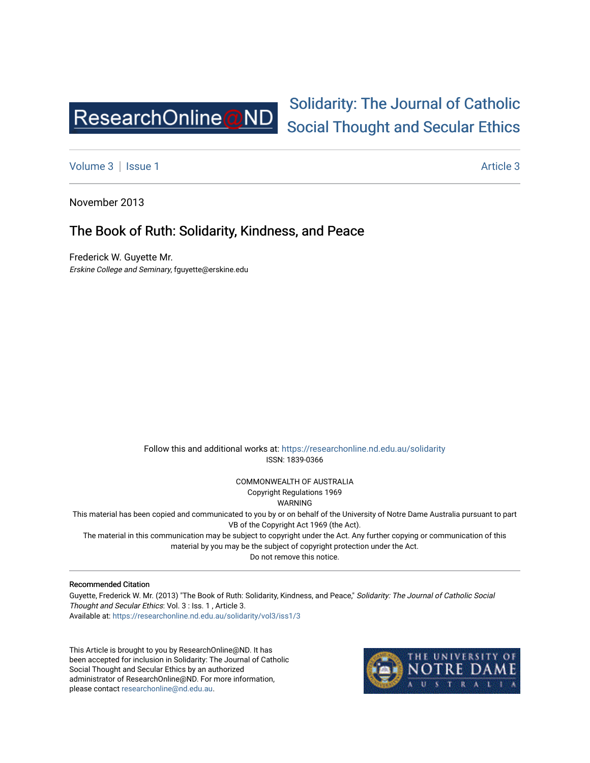

# [Solidarity: The Journal of Catholic](https://researchonline.nd.edu.au/solidarity)  [Social Thought and Secular Ethics](https://researchonline.nd.edu.au/solidarity)

[Volume 3](https://researchonline.nd.edu.au/solidarity/vol3) | [Issue 1](https://researchonline.nd.edu.au/solidarity/vol3/iss1) Article 3

November 2013

## The Book of Ruth: Solidarity, Kindness, and Peace

Frederick W. Guyette Mr. Erskine College and Seminary, fguyette@erskine.edu

> Follow this and additional works at: [https://researchonline.nd.edu.au/solidarity](https://researchonline.nd.edu.au/solidarity?utm_source=researchonline.nd.edu.au%2Fsolidarity%2Fvol3%2Fiss1%2F3&utm_medium=PDF&utm_campaign=PDFCoverPages)  ISSN: 1839-0366

> > COMMONWEALTH OF AUSTRALIA Copyright Regulations 1969

WARNING

This material has been copied and communicated to you by or on behalf of the University of Notre Dame Australia pursuant to part VB of the Copyright Act 1969 (the Act).

The material in this communication may be subject to copyright under the Act. Any further copying or communication of this material by you may be the subject of copyright protection under the Act.

Do not remove this notice.

#### Recommended Citation

Guyette, Frederick W. Mr. (2013) "The Book of Ruth: Solidarity, Kindness, and Peace," Solidarity: The Journal of Catholic Social Thought and Secular Ethics: Vol. 3 : Iss. 1 , Article 3. Available at: [https://researchonline.nd.edu.au/solidarity/vol3/iss1/3](https://researchonline.nd.edu.au/solidarity/vol3/iss1/3?utm_source=researchonline.nd.edu.au%2Fsolidarity%2Fvol3%2Fiss1%2F3&utm_medium=PDF&utm_campaign=PDFCoverPages) 

This Article is brought to you by ResearchOnline@ND. It has been accepted for inclusion in Solidarity: The Journal of Catholic Social Thought and Secular Ethics by an authorized administrator of ResearchOnline@ND. For more information, please contact [researchonline@nd.edu.au.](mailto:researchonline@nd.edu.au)

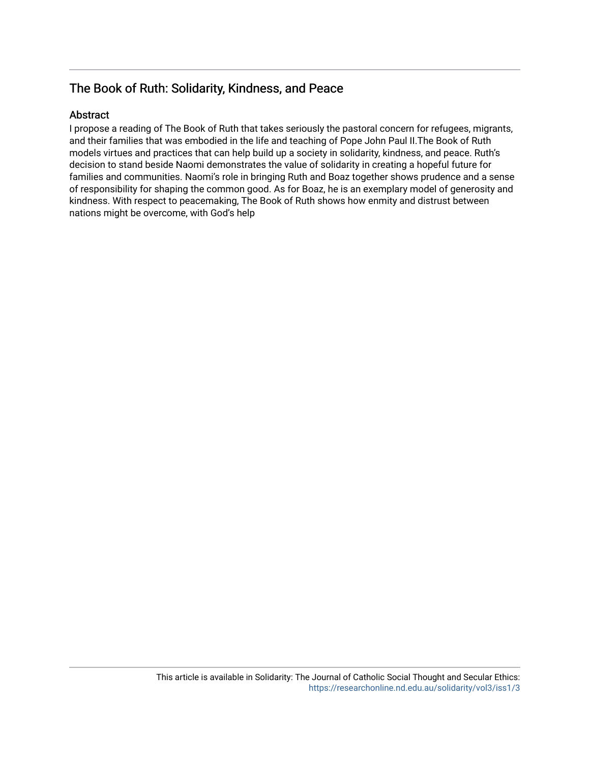## The Book of Ruth: Solidarity, Kindness, and Peace

#### Abstract

I propose a reading of The Book of Ruth that takes seriously the pastoral concern for refugees, migrants, and their families that was embodied in the life and teaching of Pope John Paul II.The Book of Ruth models virtues and practices that can help build up a society in solidarity, kindness, and peace. Ruth's decision to stand beside Naomi demonstrates the value of solidarity in creating a hopeful future for families and communities. Naomi's role in bringing Ruth and Boaz together shows prudence and a sense of responsibility for shaping the common good. As for Boaz, he is an exemplary model of generosity and kindness. With respect to peacemaking, The Book of Ruth shows how enmity and distrust between nations might be overcome, with God's help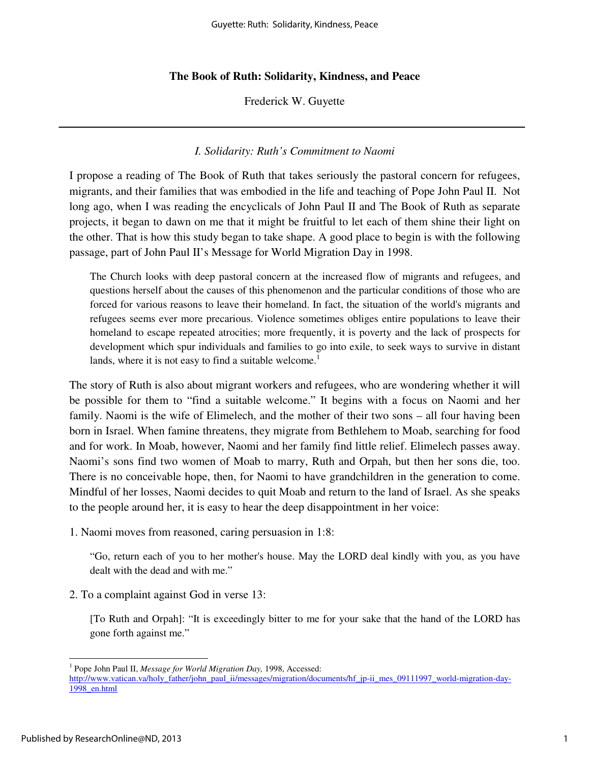#### **The Book of Ruth: Solidarity, Kindness, and Peace**

Frederick W. Guyette

#### *I. Solidarity: Ruth's Commitment to Naomi*

I propose a reading of The Book of Ruth that takes seriously the pastoral concern for refugees, migrants, and their families that was embodied in the life and teaching of Pope John Paul II. Not long ago, when I was reading the encyclicals of John Paul II and The Book of Ruth as separate projects, it began to dawn on me that it might be fruitful to let each of them shine their light on the other. That is how this study began to take shape. A good place to begin is with the following passage, part of John Paul II's Message for World Migration Day in 1998.

The Church looks with deep pastoral concern at the increased flow of migrants and refugees, and questions herself about the causes of this phenomenon and the particular conditions of those who are forced for various reasons to leave their homeland. In fact, the situation of the world's migrants and refugees seems ever more precarious. Violence sometimes obliges entire populations to leave their homeland to escape repeated atrocities; more frequently, it is poverty and the lack of prospects for development which spur individuals and families to go into exile, to seek ways to survive in distant lands, where it is not easy to find a suitable welcome.<sup>1</sup>

The story of Ruth is also about migrant workers and refugees, who are wondering whether it will be possible for them to "find a suitable welcome." It begins with a focus on Naomi and her family. Naomi is the wife of Elimelech, and the mother of their two sons – all four having been born in Israel. When famine threatens, they migrate from Bethlehem to Moab, searching for food and for work. In Moab, however, Naomi and her family find little relief. Elimelech passes away. Naomi's sons find two women of Moab to marry, Ruth and Orpah, but then her sons die, too. There is no conceivable hope, then, for Naomi to have grandchildren in the generation to come. Mindful of her losses, Naomi decides to quit Moab and return to the land of Israel. As she speaks to the people around her, it is easy to hear the deep disappointment in her voice:

1. Naomi moves from reasoned, caring persuasion in 1:8:

"Go, return each of you to her mother's house. May the LORD deal kindly with you, as you have dealt with the dead and with me."

2. To a complaint against God in verse 13:

[To Ruth and Orpah]: "It is exceedingly bitter to me for your sake that the hand of the LORD has gone forth against me."

<sup>&</sup>lt;sup>1</sup> Pope John Paul II, *Message for World Migration Day*, 1998, Accessed: http://www.vatican.va/holy\_father/john\_paul\_ii/messages/migration/documents/hf\_jp-ii\_mes\_09111997\_world-migration-day-1998\_en.html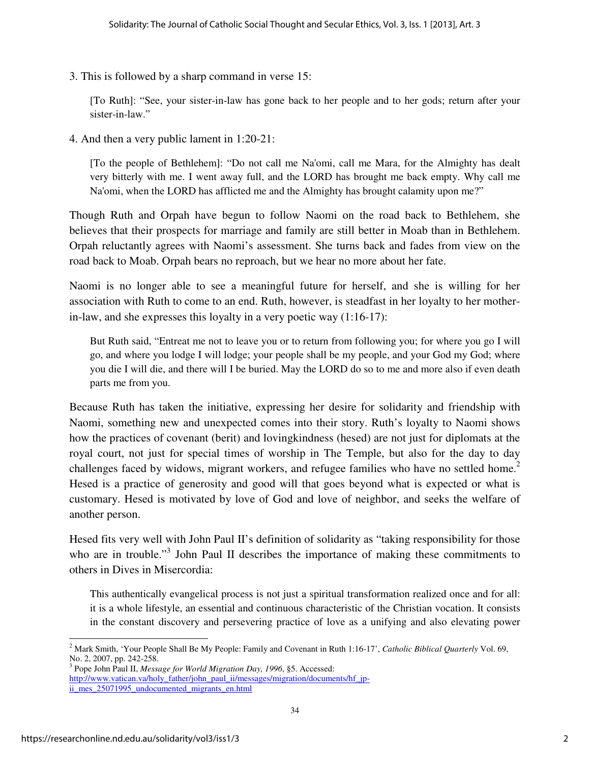3. This is followed by a sharp command in verse 15:

[To Ruth]: "See, your sister-in-law has gone back to her people and to her gods; return after your sister-in-law."

4. And then a very public lament in 1:20-21:

[To the people of Bethlehem]: "Do not call me Na'omi, call me Mara, for the Almighty has dealt very bitterly with me. I went away full, and the LORD has brought me back empty. Why call me Na'omi, when the LORD has afflicted me and the Almighty has brought calamity upon me?"

Though Ruth and Orpah have begun to follow Naomi on the road back to Bethlehem, she believes that their prospects for marriage and family are still better in Moab than in Bethlehem. Orpah reluctantly agrees with Naomi's assessment. She turns back and fades from view on the road back to Moab. Orpah bears no reproach, but we hear no more about her fate.

Naomi is no longer able to see a meaningful future for herself, and she is willing for her association with Ruth to come to an end. Ruth, however, is steadfast in her loyalty to her motherin-law, and she expresses this loyalty in a very poetic way (1:16-17):

But Ruth said, "Entreat me not to leave you or to return from following you; for where you go I will go, and where you lodge I will lodge; your people shall be my people, and your God my God; where you die I will die, and there will I be buried. May the LORD do so to me and more also if even death parts me from you.

Because Ruth has taken the initiative, expressing her desire for solidarity and friendship with Naomi, something new and unexpected comes into their story. Ruth's loyalty to Naomi shows how the practices of covenant (berit) and lovingkindness (hesed) are not just for diplomats at the royal court, not just for special times of worship in The Temple, but also for the day to day challenges faced by widows, migrant workers, and refugee families who have no settled home.<sup>2</sup> Hesed is a practice of generosity and good will that goes beyond what is expected or what is customary. Hesed is motivated by love of God and love of neighbor, and seeks the welfare of another person.

Hesed fits very well with John Paul II's definition of solidarity as "taking responsibility for those who are in trouble."<sup>3</sup> John Paul II describes the importance of making these commitments to others in Dives in Misercordia:

This authentically evangelical process is not just a spiritual transformation realized once and for all: it is a whole lifestyle, an essential and continuous characteristic of the Christian vocation. It consists in the constant discovery and persevering practice of love as a unifying and also elevating power

<sup>&</sup>lt;sup>2</sup> Mark Smith, 'Your People Shall Be My People: Family and Covenant in Ruth 1:16-17', *Catholic Biblical Quarterly* Vol. 69, No. 2, 2007, pp. 242-258.

<sup>3</sup> Pope John Paul II, *Message for World Migration Day, 1996*, §5. Accessed: http://www.vatican.va/holy\_father/john\_paul\_ii/messages/migration/documents/hf\_jpii mes 25071995 undocumented migrants en.html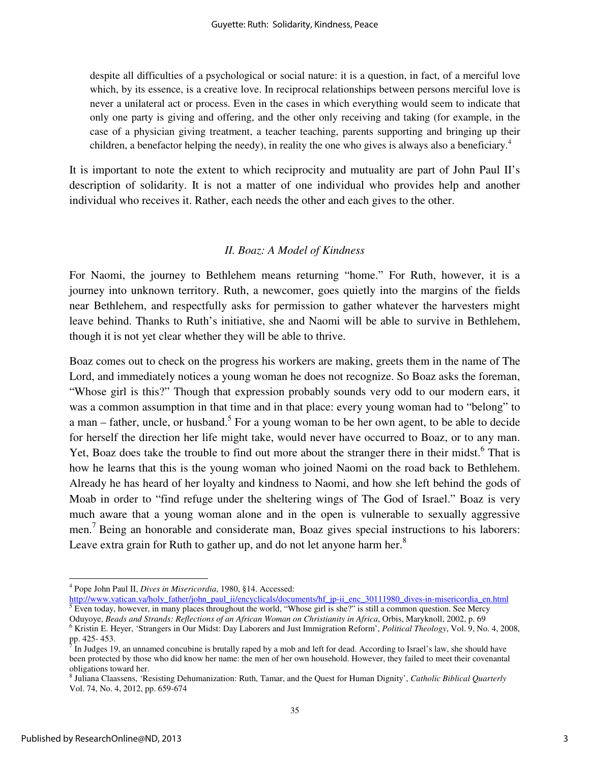despite all difficulties of a psychological or social nature: it is a question, in fact, of a merciful love which, by its essence, is a creative love. In reciprocal relationships between persons merciful love is never a unilateral act or process. Even in the cases in which everything would seem to indicate that only one party is giving and offering, and the other only receiving and taking (for example, in the case of a physician giving treatment, a teacher teaching, parents supporting and bringing up their children, a benefactor helping the needy), in reality the one who gives is always also a beneficiary.<sup>4</sup>

It is important to note the extent to which reciprocity and mutuality are part of John Paul II's description of solidarity. It is not a matter of one individual who provides help and another individual who receives it. Rather, each needs the other and each gives to the other.

### *II. Boaz: A Model of Kindness*

For Naomi, the journey to Bethlehem means returning "home." For Ruth, however, it is a journey into unknown territory. Ruth, a newcomer, goes quietly into the margins of the fields near Bethlehem, and respectfully asks for permission to gather whatever the harvesters might leave behind. Thanks to Ruth's initiative, she and Naomi will be able to survive in Bethlehem, though it is not yet clear whether they will be able to thrive.

Boaz comes out to check on the progress his workers are making, greets them in the name of The Lord, and immediately notices a young woman he does not recognize. So Boaz asks the foreman, "Whose girl is this?" Though that expression probably sounds very odd to our modern ears, it was a common assumption in that time and in that place: every young woman had to "belong" to a man – father, uncle, or husband.<sup>5</sup> For a young woman to be her own agent, to be able to decide for herself the direction her life might take, would never have occurred to Boaz, or to any man. Yet, Boaz does take the trouble to find out more about the stranger there in their midst.<sup>6</sup> That is how he learns that this is the young woman who joined Naomi on the road back to Bethlehem. Already he has heard of her loyalty and kindness to Naomi, and how she left behind the gods of Moab in order to "find refuge under the sheltering wings of The God of Israel." Boaz is very much aware that a young woman alone and in the open is vulnerable to sexually aggressive men.<sup>7</sup> Being an honorable and considerate man, Boaz gives special instructions to his laborers: Leave extra grain for Ruth to gather up, and do not let anyone harm her. $8$ 

<sup>4</sup> Pope John Paul II, *Dives in Misericordia*, 1980, §14. Accessed:

http://www.vatican.va/holy father/john paul ii/encyclicals/documents/hf jp-ii enc 30111980 dives-in-misericordia en.html<br><sup>5</sup> Even today, however, in many places throughout the world, "Whose girl is she?" is still a common Oduyoye, *Beads and Strands: Reflections of an African Woman on Christianity in Africa*, Orbis, Maryknoll, 2002, p. 69

<sup>6</sup> Kristin E. Heyer, 'Strangers in Our Midst: Day Laborers and Just Immigration Reform', *Political Theology*, Vol. 9, No. 4, 2008, pp. 425- 453.<br><sup>7</sup> In Judges 10

In Judges 19, an unnamed concubine is brutally raped by a mob and left for dead. According to Israel's law, she should have been protected by those who did know her name: the men of her own household. However, they failed to meet their covenantal obligations toward her.

<sup>8</sup> Juliana Claassens, 'Resisting Dehumanization: Ruth, Tamar, and the Quest for Human Dignity', *Catholic Biblical Quarterly* Vol. 74, No. 4, 2012, pp. 659-674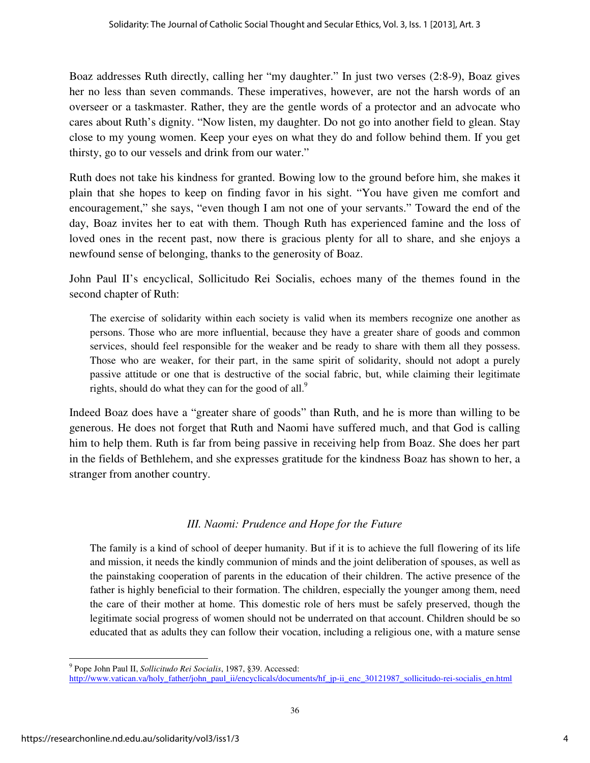Boaz addresses Ruth directly, calling her "my daughter." In just two verses (2:8-9), Boaz gives her no less than seven commands. These imperatives, however, are not the harsh words of an overseer or a taskmaster. Rather, they are the gentle words of a protector and an advocate who cares about Ruth's dignity. "Now listen, my daughter. Do not go into another field to glean. Stay close to my young women. Keep your eyes on what they do and follow behind them. If you get thirsty, go to our vessels and drink from our water."

Ruth does not take his kindness for granted. Bowing low to the ground before him, she makes it plain that she hopes to keep on finding favor in his sight. "You have given me comfort and encouragement," she says, "even though I am not one of your servants." Toward the end of the day, Boaz invites her to eat with them. Though Ruth has experienced famine and the loss of loved ones in the recent past, now there is gracious plenty for all to share, and she enjoys a newfound sense of belonging, thanks to the generosity of Boaz.

John Paul II's encyclical, Sollicitudo Rei Socialis, echoes many of the themes found in the second chapter of Ruth:

The exercise of solidarity within each society is valid when its members recognize one another as persons. Those who are more influential, because they have a greater share of goods and common services, should feel responsible for the weaker and be ready to share with them all they possess. Those who are weaker, for their part, in the same spirit of solidarity, should not adopt a purely passive attitude or one that is destructive of the social fabric, but, while claiming their legitimate rights, should do what they can for the good of all. $9$ 

Indeed Boaz does have a "greater share of goods" than Ruth, and he is more than willing to be generous. He does not forget that Ruth and Naomi have suffered much, and that God is calling him to help them. Ruth is far from being passive in receiving help from Boaz. She does her part in the fields of Bethlehem, and she expresses gratitude for the kindness Boaz has shown to her, a stranger from another country.

### *III. Naomi: Prudence and Hope for the Future*

The family is a kind of school of deeper humanity. But if it is to achieve the full flowering of its life and mission, it needs the kindly communion of minds and the joint deliberation of spouses, as well as the painstaking cooperation of parents in the education of their children. The active presence of the father is highly beneficial to their formation. The children, especially the younger among them, need the care of their mother at home. This domestic role of hers must be safely preserved, though the legitimate social progress of women should not be underrated on that account. Children should be so educated that as adults they can follow their vocation, including a religious one, with a mature sense

<sup>9</sup> Pope John Paul II, *Sollicitudo Rei Socialis*, 1987, §39. Accessed:

http://www.vatican.va/holy\_father/john\_paul\_ii/encyclicals/documents/hf\_jp-ii\_enc\_30121987\_sollicitudo-rei-socialis\_en.html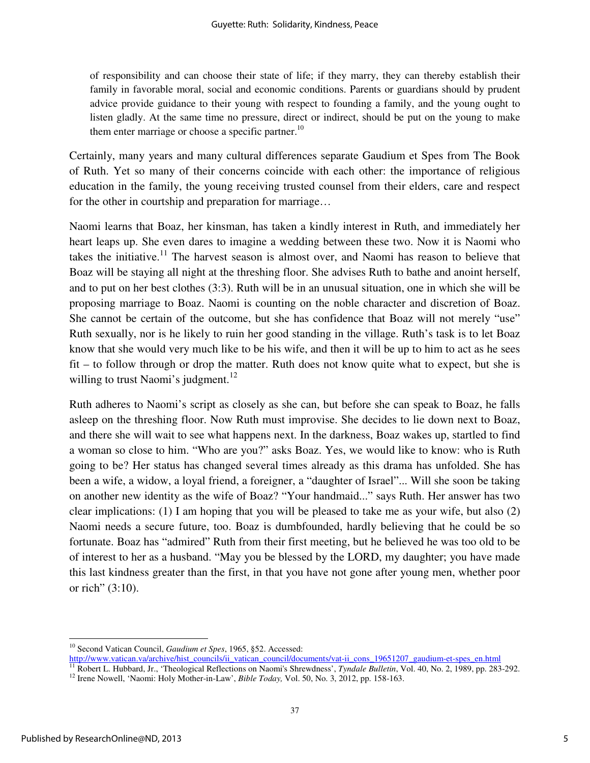of responsibility and can choose their state of life; if they marry, they can thereby establish their family in favorable moral, social and economic conditions. Parents or guardians should by prudent advice provide guidance to their young with respect to founding a family, and the young ought to listen gladly. At the same time no pressure, direct or indirect, should be put on the young to make them enter marriage or choose a specific partner.<sup>10</sup>

Certainly, many years and many cultural differences separate Gaudium et Spes from The Book of Ruth. Yet so many of their concerns coincide with each other: the importance of religious education in the family, the young receiving trusted counsel from their elders, care and respect for the other in courtship and preparation for marriage…

Naomi learns that Boaz, her kinsman, has taken a kindly interest in Ruth, and immediately her heart leaps up. She even dares to imagine a wedding between these two. Now it is Naomi who takes the initiative.<sup>11</sup> The harvest season is almost over, and Naomi has reason to believe that Boaz will be staying all night at the threshing floor. She advises Ruth to bathe and anoint herself, and to put on her best clothes (3:3). Ruth will be in an unusual situation, one in which she will be proposing marriage to Boaz. Naomi is counting on the noble character and discretion of Boaz. She cannot be certain of the outcome, but she has confidence that Boaz will not merely "use" Ruth sexually, nor is he likely to ruin her good standing in the village. Ruth's task is to let Boaz know that she would very much like to be his wife, and then it will be up to him to act as he sees fit – to follow through or drop the matter. Ruth does not know quite what to expect, but she is willing to trust Naomi's judgment.<sup>12</sup>

Ruth adheres to Naomi's script as closely as she can, but before she can speak to Boaz, he falls asleep on the threshing floor. Now Ruth must improvise. She decides to lie down next to Boaz, and there she will wait to see what happens next. In the darkness, Boaz wakes up, startled to find a woman so close to him. "Who are you?" asks Boaz. Yes, we would like to know: who is Ruth going to be? Her status has changed several times already as this drama has unfolded. She has been a wife, a widow, a loyal friend, a foreigner, a "daughter of Israel"... Will she soon be taking on another new identity as the wife of Boaz? "Your handmaid..." says Ruth. Her answer has two clear implications: (1) I am hoping that you will be pleased to take me as your wife, but also (2) Naomi needs a secure future, too. Boaz is dumbfounded, hardly believing that he could be so fortunate. Boaz has "admired" Ruth from their first meeting, but he believed he was too old to be of interest to her as a husband. "May you be blessed by the LORD, my daughter; you have made this last kindness greater than the first, in that you have not gone after young men, whether poor or rich" (3:10).

<sup>10</sup> Second Vatican Council, *Gaudium et Spes*, 1965, §52. Accessed:

http://www.vatican.va/archive/hist\_councils/ii\_vatican\_council/documents/vat-ii\_cons\_19651207\_gaudium-et-spes\_en.html

<sup>11</sup> Robert L. Hubbard, Jr., 'Theological Reflections on Naomi's Shrewdness', *Tyndale Bulletin*, Vol. 40, No. 2, 1989, pp. 283-292.

<sup>&</sup>lt;sup>12</sup> Irene Nowell, 'Naomi: Holy Mother-in-Law', *Bible Today*, Vol. 50, No. 3, 2012, pp. 158-163.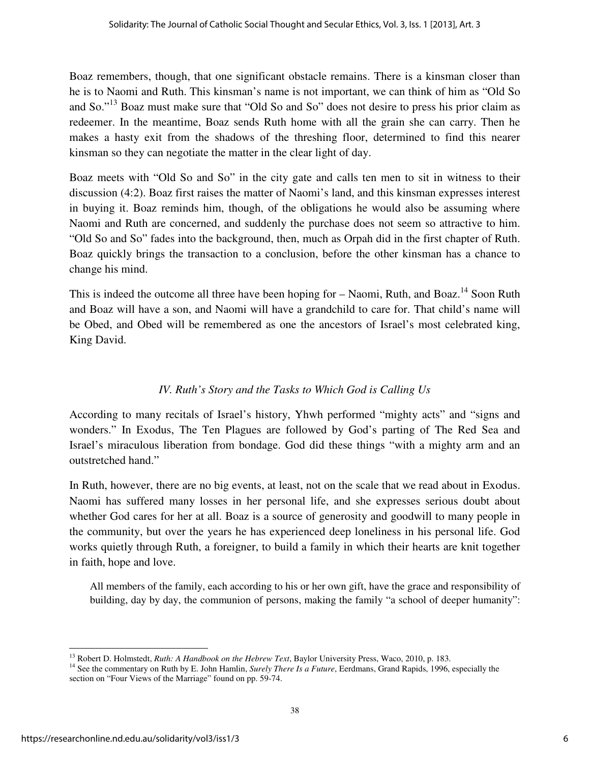Boaz remembers, though, that one significant obstacle remains. There is a kinsman closer than he is to Naomi and Ruth. This kinsman's name is not important, we can think of him as "Old So and So."<sup>13</sup> Boaz must make sure that "Old So and So" does not desire to press his prior claim as redeemer. In the meantime, Boaz sends Ruth home with all the grain she can carry. Then he makes a hasty exit from the shadows of the threshing floor, determined to find this nearer kinsman so they can negotiate the matter in the clear light of day.

Boaz meets with "Old So and So" in the city gate and calls ten men to sit in witness to their discussion (4:2). Boaz first raises the matter of Naomi's land, and this kinsman expresses interest in buying it. Boaz reminds him, though, of the obligations he would also be assuming where Naomi and Ruth are concerned, and suddenly the purchase does not seem so attractive to him. "Old So and So" fades into the background, then, much as Orpah did in the first chapter of Ruth. Boaz quickly brings the transaction to a conclusion, before the other kinsman has a chance to change his mind.

This is indeed the outcome all three have been hoping for  $-$  Naomi, Ruth, and Boaz.<sup>14</sup> Soon Ruth and Boaz will have a son, and Naomi will have a grandchild to care for. That child's name will be Obed, and Obed will be remembered as one the ancestors of Israel's most celebrated king, King David.

## *IV. Ruth's Story and the Tasks to Which God is Calling Us*

According to many recitals of Israel's history, Yhwh performed "mighty acts" and "signs and wonders." In Exodus, The Ten Plagues are followed by God's parting of The Red Sea and Israel's miraculous liberation from bondage. God did these things "with a mighty arm and an outstretched hand."

In Ruth, however, there are no big events, at least, not on the scale that we read about in Exodus. Naomi has suffered many losses in her personal life, and she expresses serious doubt about whether God cares for her at all. Boaz is a source of generosity and goodwill to many people in the community, but over the years he has experienced deep loneliness in his personal life. God works quietly through Ruth, a foreigner, to build a family in which their hearts are knit together in faith, hope and love.

All members of the family, each according to his or her own gift, have the grace and responsibility of building, day by day, the communion of persons, making the family "a school of deeper humanity":

<sup>13</sup> Robert D. Holmstedt, *Ruth: A Handbook on the Hebrew Text*, Baylor University Press, Waco, 2010, p. 183.

<sup>&</sup>lt;sup>14</sup> See the commentary on Ruth by E. John Hamlin, *Surely There Is a Future*, Eerdmans, Grand Rapids, 1996, especially the section on "Four Views of the Marriage" found on pp. 59-74.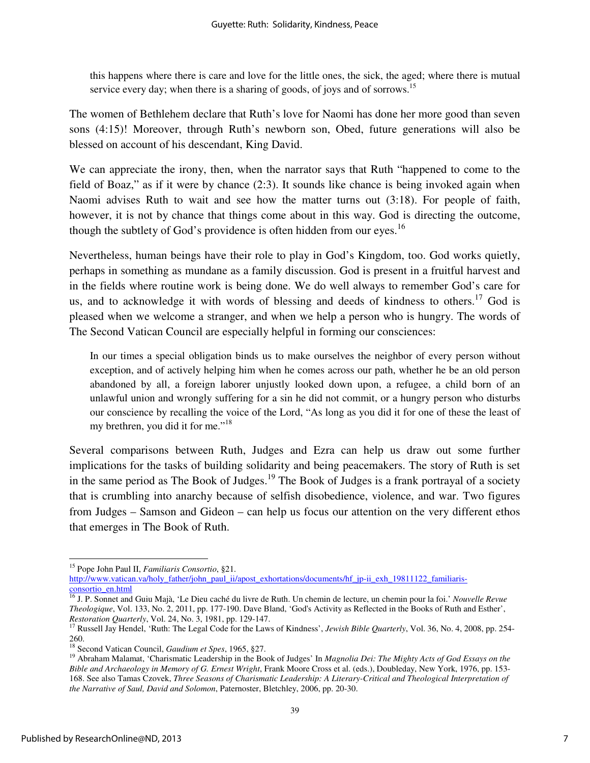this happens where there is care and love for the little ones, the sick, the aged; where there is mutual service every day; when there is a sharing of goods, of joys and of sorrows.<sup>15</sup>

The women of Bethlehem declare that Ruth's love for Naomi has done her more good than seven sons (4:15)! Moreover, through Ruth's newborn son, Obed, future generations will also be blessed on account of his descendant, King David.

We can appreciate the irony, then, when the narrator says that Ruth "happened to come to the field of Boaz," as if it were by chance (2:3). It sounds like chance is being invoked again when Naomi advises Ruth to wait and see how the matter turns out (3:18). For people of faith, however, it is not by chance that things come about in this way. God is directing the outcome, though the subtlety of God's providence is often hidden from our eyes.<sup>16</sup>

Nevertheless, human beings have their role to play in God's Kingdom, too. God works quietly, perhaps in something as mundane as a family discussion. God is present in a fruitful harvest and in the fields where routine work is being done. We do well always to remember God's care for us, and to acknowledge it with words of blessing and deeds of kindness to others.<sup>17</sup> God is pleased when we welcome a stranger, and when we help a person who is hungry. The words of The Second Vatican Council are especially helpful in forming our consciences:

In our times a special obligation binds us to make ourselves the neighbor of every person without exception, and of actively helping him when he comes across our path, whether he be an old person abandoned by all, a foreign laborer unjustly looked down upon, a refugee, a child born of an unlawful union and wrongly suffering for a sin he did not commit, or a hungry person who disturbs our conscience by recalling the voice of the Lord, "As long as you did it for one of these the least of my brethren, you did it for me."<sup>18</sup>

Several comparisons between Ruth, Judges and Ezra can help us draw out some further implications for the tasks of building solidarity and being peacemakers. The story of Ruth is set in the same period as The Book of Judges.<sup>19</sup> The Book of Judges is a frank portrayal of a society that is crumbling into anarchy because of selfish disobedience, violence, and war. Two figures from Judges – Samson and Gideon – can help us focus our attention on the very different ethos that emerges in The Book of Ruth.

<sup>15</sup> Pope John Paul II, *Familiaris Consortio*, §21. http://www.vatican.va/holy\_father/john\_paul\_ii/apost\_exhortations/documents/hf\_jp-ii\_exh\_19811122\_familiarisconsortio\_en.html

<sup>16</sup> J. P. Sonnet and Guiu Majà, 'Le Dieu caché du livre de Ruth. Un chemin de lecture, un chemin pour la foi.' *Nouvelle Revue Theologique*, Vol. 133, No. 2, 2011, pp. 177-190. Dave Bland, 'God's Activity as Reflected in the Books of Ruth and Esther', *Restoration Quarterly*, Vol. 24, No. 3, 1981, pp. 129-147.

<sup>&</sup>lt;sup>17</sup> Russell Jay Hendel, 'Ruth: The Legal Code for the Laws of Kindness', *Jewish Bible Quarterly*, Vol. 36, No. 4, 2008, pp. 254-260.

<sup>18</sup> Second Vatican Council, *Gaudium et Spes*, 1965, §27.

<sup>19</sup> Abraham Malamat, 'Charismatic Leadership in the Book of Judges' In *Magnolia Dei: The Mighty Acts of God Essays on the Bible and Archaeology in Memory of G. Ernest Wright*, Frank Moore Cross et al. (eds.), Doubleday, New York, 1976, pp. 153- 168. See also Tamas Czovek, *Three Seasons of Charismatic Leadership: A Literary-Critical and Theological Interpretation of the Narrative of Saul, David and Solomon*, Paternoster, Bletchley, 2006, pp. 20-30.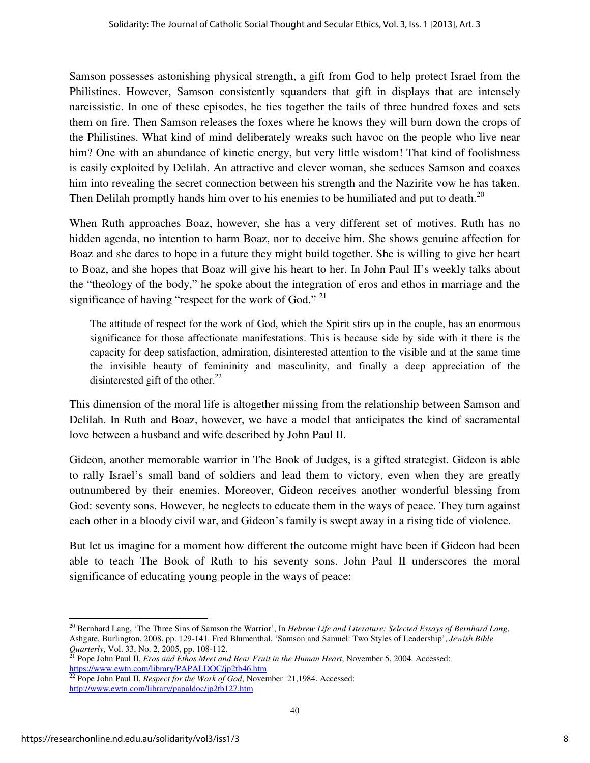Samson possesses astonishing physical strength, a gift from God to help protect Israel from the Philistines. However, Samson consistently squanders that gift in displays that are intensely narcissistic. In one of these episodes, he ties together the tails of three hundred foxes and sets them on fire. Then Samson releases the foxes where he knows they will burn down the crops of the Philistines. What kind of mind deliberately wreaks such havoc on the people who live near him? One with an abundance of kinetic energy, but very little wisdom! That kind of foolishness is easily exploited by Delilah. An attractive and clever woman, she seduces Samson and coaxes him into revealing the secret connection between his strength and the Nazirite vow he has taken. Then Delilah promptly hands him over to his enemies to be humiliated and put to death.<sup>20</sup>

When Ruth approaches Boaz, however, she has a very different set of motives. Ruth has no hidden agenda, no intention to harm Boaz, nor to deceive him. She shows genuine affection for Boaz and she dares to hope in a future they might build together. She is willing to give her heart to Boaz, and she hopes that Boaz will give his heart to her. In John Paul II's weekly talks about the "theology of the body," he spoke about the integration of eros and ethos in marriage and the significance of having "respect for the work of God." <sup>21</sup>

The attitude of respect for the work of God, which the Spirit stirs up in the couple, has an enormous significance for those affectionate manifestations. This is because side by side with it there is the capacity for deep satisfaction, admiration, disinterested attention to the visible and at the same time the invisible beauty of femininity and masculinity, and finally a deep appreciation of the disinterested gift of the other. $^{22}$ 

This dimension of the moral life is altogether missing from the relationship between Samson and Delilah. In Ruth and Boaz, however, we have a model that anticipates the kind of sacramental love between a husband and wife described by John Paul II.

Gideon, another memorable warrior in The Book of Judges, is a gifted strategist. Gideon is able to rally Israel's small band of soldiers and lead them to victory, even when they are greatly outnumbered by their enemies. Moreover, Gideon receives another wonderful blessing from God: seventy sons. However, he neglects to educate them in the ways of peace. They turn against each other in a bloody civil war, and Gideon's family is swept away in a rising tide of violence.

But let us imagine for a moment how different the outcome might have been if Gideon had been able to teach The Book of Ruth to his seventy sons. John Paul II underscores the moral significance of educating young people in the ways of peace:

<sup>20</sup> Bernhard Lang, 'The Three Sins of Samson the Warrior', In *Hebrew Life and Literature: Selected Essays of Bernhard Lang*, Ashgate, Burlington, 2008, pp. 129-141. Fred Blumenthal, 'Samson and Samuel: Two Styles of Leadership', *Jewish Bible Quarterly*, Vol. 33, No. 2, 2005, pp. 108-112.<br><sup>21</sup> Pops J-1. P. 17 –

<sup>21</sup> Pope John Paul II, *Eros and Ethos Meet and Bear Fruit in the Human Heart*, November 5, 2004. Accessed: https://www.ewtn.com/library/PAPALDOC/jp2tb46.htm

 $\overline{^{22}}$  Pope John Paul II, *Respect for the Work of God*, November 21,1984. Accessed: http://www.ewtn.com/library/papaldoc/jp2tb127.htm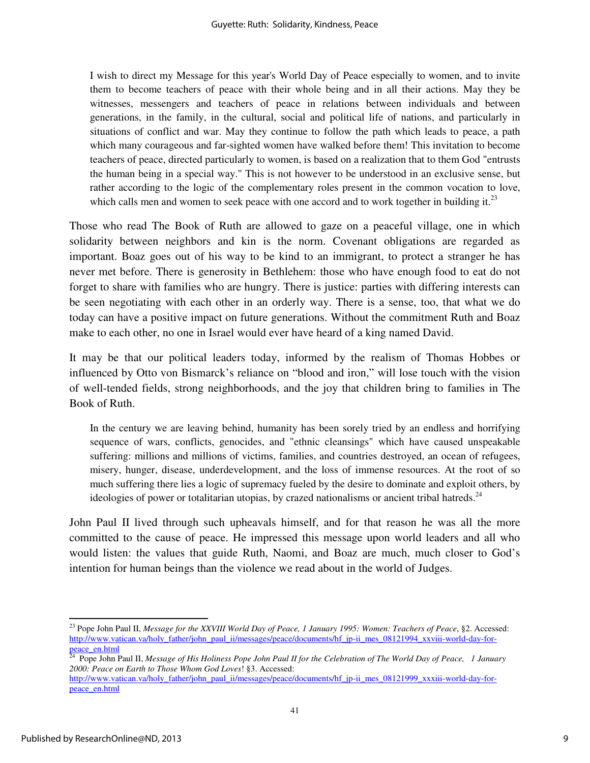I wish to direct my Message for this year's World Day of Peace especially to women, and to invite them to become teachers of peace with their whole being and in all their actions. May they be witnesses, messengers and teachers of peace in relations between individuals and between generations, in the family, in the cultural, social and political life of nations, and particularly in situations of conflict and war. May they continue to follow the path which leads to peace, a path which many courageous and far-sighted women have walked before them! This invitation to become teachers of peace, directed particularly to women, is based on a realization that to them God "entrusts the human being in a special way." This is not however to be understood in an exclusive sense, but rather according to the logic of the complementary roles present in the common vocation to love, which calls men and women to seek peace with one accord and to work together in building it.<sup>23</sup>

Those who read The Book of Ruth are allowed to gaze on a peaceful village, one in which solidarity between neighbors and kin is the norm. Covenant obligations are regarded as important. Boaz goes out of his way to be kind to an immigrant, to protect a stranger he has never met before. There is generosity in Bethlehem: those who have enough food to eat do not forget to share with families who are hungry. There is justice: parties with differing interests can be seen negotiating with each other in an orderly way. There is a sense, too, that what we do today can have a positive impact on future generations. Without the commitment Ruth and Boaz make to each other, no one in Israel would ever have heard of a king named David.

It may be that our political leaders today, informed by the realism of Thomas Hobbes or influenced by Otto von Bismarck's reliance on "blood and iron," will lose touch with the vision of well-tended fields, strong neighborhoods, and the joy that children bring to families in The Book of Ruth.

In the century we are leaving behind, humanity has been sorely tried by an endless and horrifying sequence of wars, conflicts, genocides, and "ethnic cleansings" which have caused unspeakable suffering: millions and millions of victims, families, and countries destroyed, an ocean of refugees, misery, hunger, disease, underdevelopment, and the loss of immense resources. At the root of so much suffering there lies a logic of supremacy fueled by the desire to dominate and exploit others, by ideologies of power or totalitarian utopias, by crazed nationalisms or ancient tribal hatreds. $^{24}$ 

John Paul II lived through such upheavals himself, and for that reason he was all the more committed to the cause of peace. He impressed this message upon world leaders and all who would listen: the values that guide Ruth, Naomi, and Boaz are much, much closer to God's intention for human beings than the violence we read about in the world of Judges.

<sup>23</sup> Pope John Paul II, *Message for the XXVIII World Day of Peace, 1 January 1995: Women: Teachers of Peace*, §2. Accessed: http://www.vatican.va/holy\_father/john\_paul\_ii/messages/peace/documents/hf\_jp-ii\_mes\_08121994\_xxviii-world-day-forpeace\_en.html

<sup>24</sup> Pope John Paul II, *Message of His Holiness Pope John Paul II for the Celebration of The World Day of Peace, 1 January 2000: Peace on Earth to Those Whom God Loves*! §3. Accessed:

http://www.vatican.va/holy\_father/john\_paul\_ii/messages/peace/documents/hf\_jp-ii\_mes\_08121999\_xxxiii-world-day-forpeace\_en.html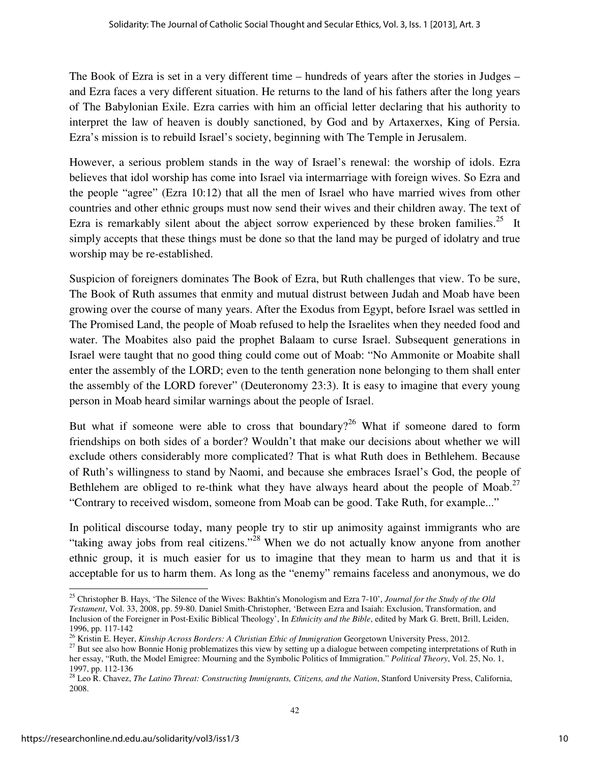The Book of Ezra is set in a very different time – hundreds of years after the stories in Judges – and Ezra faces a very different situation. He returns to the land of his fathers after the long years of The Babylonian Exile. Ezra carries with him an official letter declaring that his authority to interpret the law of heaven is doubly sanctioned, by God and by Artaxerxes, King of Persia. Ezra's mission is to rebuild Israel's society, beginning with The Temple in Jerusalem.

However, a serious problem stands in the way of Israel's renewal: the worship of idols. Ezra believes that idol worship has come into Israel via intermarriage with foreign wives. So Ezra and the people "agree" (Ezra 10:12) that all the men of Israel who have married wives from other countries and other ethnic groups must now send their wives and their children away. The text of Ezra is remarkably silent about the abject sorrow experienced by these broken families.<sup>25</sup> It simply accepts that these things must be done so that the land may be purged of idolatry and true worship may be re-established.

Suspicion of foreigners dominates The Book of Ezra, but Ruth challenges that view. To be sure, The Book of Ruth assumes that enmity and mutual distrust between Judah and Moab have been growing over the course of many years. After the Exodus from Egypt, before Israel was settled in The Promised Land, the people of Moab refused to help the Israelites when they needed food and water. The Moabites also paid the prophet Balaam to curse Israel. Subsequent generations in Israel were taught that no good thing could come out of Moab: "No Ammonite or Moabite shall enter the assembly of the LORD; even to the tenth generation none belonging to them shall enter the assembly of the LORD forever" (Deuteronomy 23:3). It is easy to imagine that every young person in Moab heard similar warnings about the people of Israel.

But what if someone were able to cross that boundary?<sup>26</sup> What if someone dared to form friendships on both sides of a border? Wouldn't that make our decisions about whether we will exclude others considerably more complicated? That is what Ruth does in Bethlehem. Because of Ruth's willingness to stand by Naomi, and because she embraces Israel's God, the people of Bethlehem are obliged to re-think what they have always heard about the people of Moab.<sup>27</sup> "Contrary to received wisdom, someone from Moab can be good. Take Ruth, for example..."

In political discourse today, many people try to stir up animosity against immigrants who are "taking away jobs from real citizens."<sup>28</sup> When we do not actually know anyone from another ethnic group, it is much easier for us to imagine that they mean to harm us and that it is acceptable for us to harm them. As long as the "enemy" remains faceless and anonymous, we do

<sup>25</sup> Christopher B. Hays, 'The Silence of the Wives: Bakhtin's Monologism and Ezra 7-10', *Journal for the Study of the Old Testament*, Vol. 33, 2008, pp. 59-80. Daniel Smith-Christopher, 'Between Ezra and Isaiah: Exclusion, Transformation, and Inclusion of the Foreigner in Post-Exilic Biblical Theology', In *Ethnicity and the Bible*, edited by Mark G. Brett, Brill, Leiden, 1996, pp. 117-142

<sup>26</sup> Kristin E. Heyer, *Kinship Across Borders: A Christian Ethic of Immigration* Georgetown University Press, 2012.

<sup>&</sup>lt;sup>27</sup> But see also how Bonnie Honig problematizes this view by setting up a dialogue between competing interpretations of Ruth in her essay, "Ruth, the Model Emigree: Mourning and the Symbolic Politics of Immigration." *Political Theory*, Vol. 25, No. 1, 1997, pp. 112-136

<sup>&</sup>lt;sup>28</sup> Leo R. Chavez, *The Latino Threat: Constructing Immigrants, Citizens, and the Nation*, Stanford University Press, California, 2008.